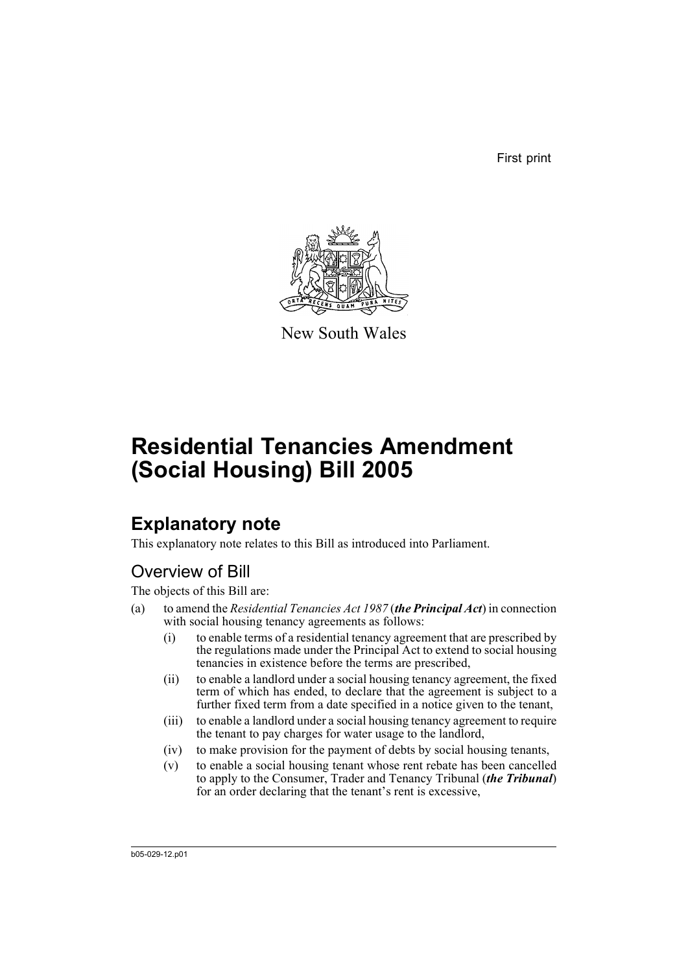First print



New South Wales

# **Residential Tenancies Amendment (Social Housing) Bill 2005**

## **Explanatory note**

This explanatory note relates to this Bill as introduced into Parliament.

## Overview of Bill

The objects of this Bill are:

- (a) to amend the *Residential Tenancies Act 1987* (*the Principal Act*) in connection with social housing tenancy agreements as follows:
	- (i) to enable terms of a residential tenancy agreement that are prescribed by the regulations made under the Principal Act to extend to social housing tenancies in existence before the terms are prescribed,
	- (ii) to enable a landlord under a social housing tenancy agreement, the fixed term of which has ended, to declare that the agreement is subject to a further fixed term from a date specified in a notice given to the tenant,
	- (iii) to enable a landlord under a social housing tenancy agreement to require the tenant to pay charges for water usage to the landlord,
	- (iv) to make provision for the payment of debts by social housing tenants,
	- (v) to enable a social housing tenant whose rent rebate has been cancelled to apply to the Consumer, Trader and Tenancy Tribunal (*the Tribunal*) for an order declaring that the tenant's rent is excessive,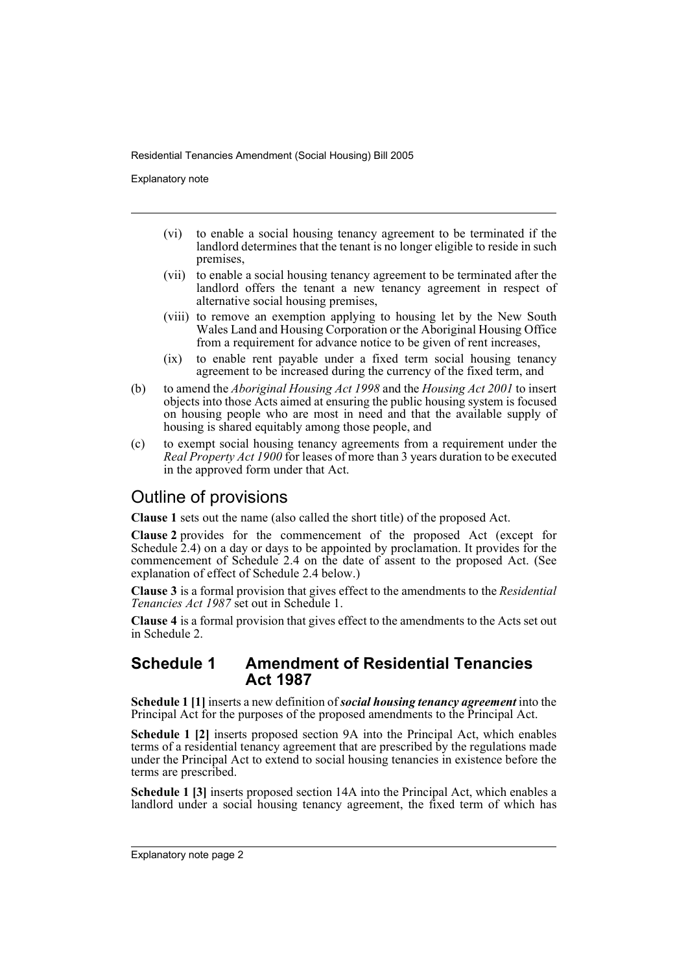Explanatory note

- (vi) to enable a social housing tenancy agreement to be terminated if the landlord determines that the tenant is no longer eligible to reside in such premises,
- (vii) to enable a social housing tenancy agreement to be terminated after the landlord offers the tenant a new tenancy agreement in respect of alternative social housing premises,
- (viii) to remove an exemption applying to housing let by the New South Wales Land and Housing Corporation or the Aboriginal Housing Office from a requirement for advance notice to be given of rent increases,
- (ix) to enable rent payable under a fixed term social housing tenancy agreement to be increased during the currency of the fixed term, and
- (b) to amend the *Aboriginal Housing Act 1998* and the *Housing Act 2001* to insert objects into those Acts aimed at ensuring the public housing system is focused on housing people who are most in need and that the available supply of housing is shared equitably among those people, and
- (c) to exempt social housing tenancy agreements from a requirement under the *Real Property Act 1900* for leases of more than 3 years duration to be executed in the approved form under that Act.

### Outline of provisions

**Clause 1** sets out the name (also called the short title) of the proposed Act.

**Clause 2** provides for the commencement of the proposed Act (except for Schedule 2.4) on a day or days to be appointed by proclamation. It provides for the commencement of Schedule 2.4 on the date of assent to the proposed Act. (See explanation of effect of Schedule 2.4 below.)

**Clause 3** is a formal provision that gives effect to the amendments to the *Residential Tenancies Act 1987* set out in Schedule 1.

**Clause 4** is a formal provision that gives effect to the amendments to the Acts set out in Schedule 2.

### **Schedule 1 Amendment of Residential Tenancies Act 1987**

**Schedule 1 [1]** inserts a new definition of *social housing tenancy agreement* into the Principal Act for the purposes of the proposed amendments to the Principal Act.

**Schedule 1 [2]** inserts proposed section 9A into the Principal Act, which enables terms of a residential tenancy agreement that are prescribed by the regulations made under the Principal Act to extend to social housing tenancies in existence before the terms are prescribed.

**Schedule 1 [3]** inserts proposed section 14A into the Principal Act, which enables a landlord under a social housing tenancy agreement, the fixed term of which has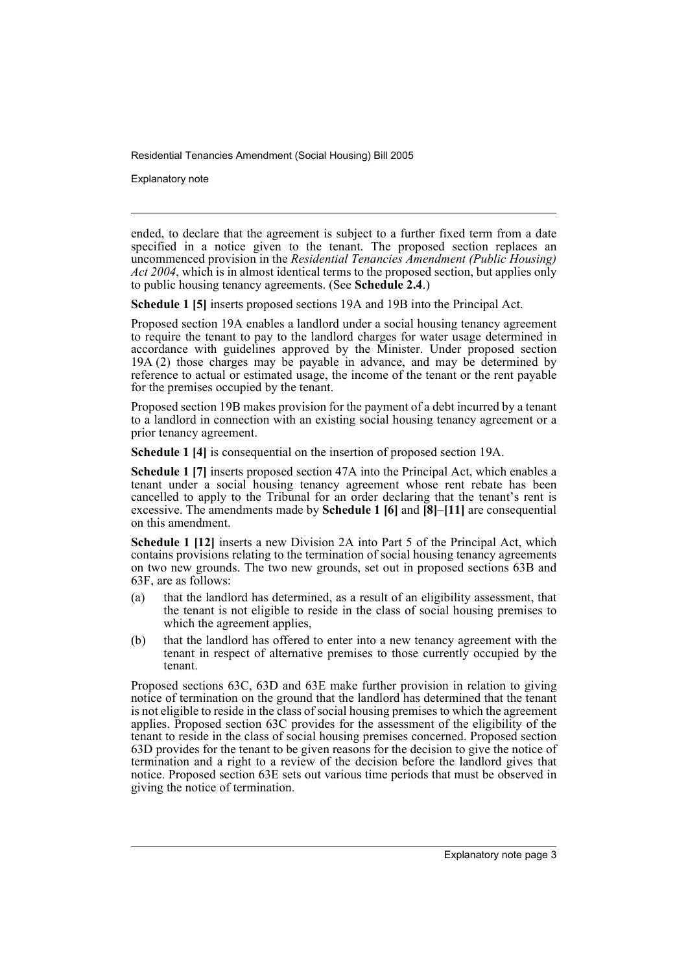Explanatory note

ended, to declare that the agreement is subject to a further fixed term from a date specified in a notice given to the tenant. The proposed section replaces an uncommenced provision in the *Residential Tenancies Amendment (Public Housing) Act 2004*, which is in almost identical terms to the proposed section, but applies only to public housing tenancy agreements. (See **Schedule 2.4**.)

**Schedule 1 [5]** inserts proposed sections 19A and 19B into the Principal Act.

Proposed section 19A enables a landlord under a social housing tenancy agreement to require the tenant to pay to the landlord charges for water usage determined in accordance with guidelines approved by the Minister. Under proposed section 19A (2) those charges may be payable in advance, and may be determined by reference to actual or estimated usage, the income of the tenant or the rent payable for the premises occupied by the tenant.

Proposed section 19B makes provision for the payment of a debt incurred by a tenant to a landlord in connection with an existing social housing tenancy agreement or a prior tenancy agreement.

**Schedule 1 [4]** is consequential on the insertion of proposed section 19A.

**Schedule 1 [7]** inserts proposed section 47A into the Principal Act, which enables a tenant under a social housing tenancy agreement whose rent rebate has been cancelled to apply to the Tribunal for an order declaring that the tenant's rent is excessive. The amendments made by **Schedule 1 [6]** and **[8]–[11]** are consequential on this amendment.

**Schedule 1 [12]** inserts a new Division 2A into Part 5 of the Principal Act, which contains provisions relating to the termination of social housing tenancy agreements on two new grounds. The two new grounds, set out in proposed sections 63B and 63F, are as follows:

- (a) that the landlord has determined, as a result of an eligibility assessment, that the tenant is not eligible to reside in the class of social housing premises to which the agreement applies,
- (b) that the landlord has offered to enter into a new tenancy agreement with the tenant in respect of alternative premises to those currently occupied by the tenant.

Proposed sections 63C, 63D and 63E make further provision in relation to giving notice of termination on the ground that the landlord has determined that the tenant is not eligible to reside in the class of social housing premises to which the agreement applies. Proposed section 63C provides for the assessment of the eligibility of the tenant to reside in the class of social housing premises concerned. Proposed section 63D provides for the tenant to be given reasons for the decision to give the notice of termination and a right to a review of the decision before the landlord gives that notice. Proposed section 63E sets out various time periods that must be observed in giving the notice of termination.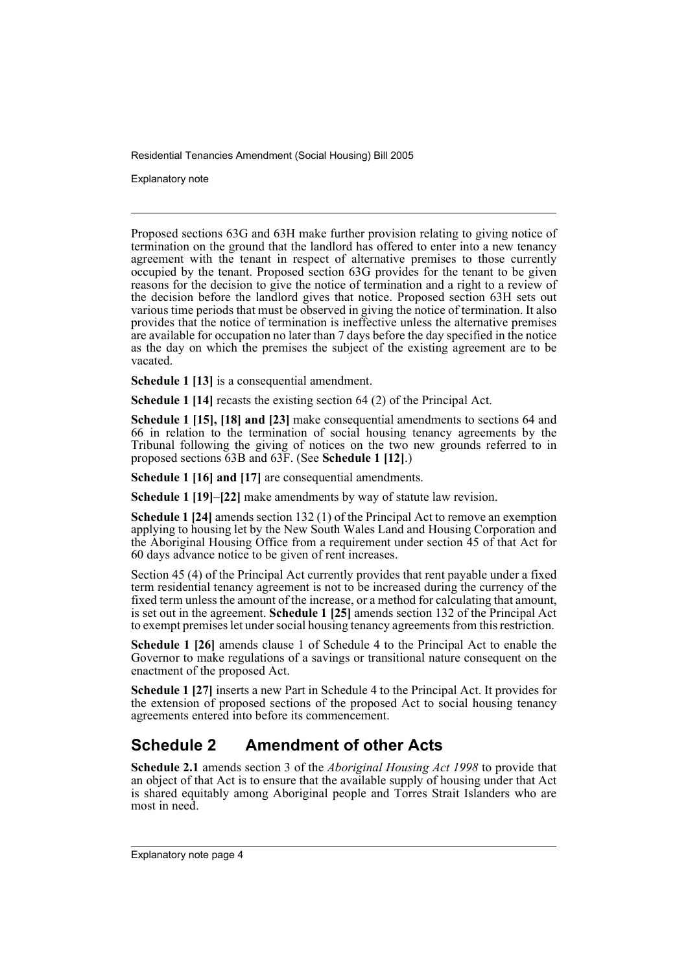Explanatory note

Proposed sections 63G and 63H make further provision relating to giving notice of termination on the ground that the landlord has offered to enter into a new tenancy agreement with the tenant in respect of alternative premises to those currently occupied by the tenant. Proposed section 63G provides for the tenant to be given reasons for the decision to give the notice of termination and a right to a review of the decision before the landlord gives that notice. Proposed section 63H sets out various time periods that must be observed in giving the notice of termination. It also provides that the notice of termination is ineffective unless the alternative premises are available for occupation no later than 7 days before the day specified in the notice as the day on which the premises the subject of the existing agreement are to be vacated.

**Schedule 1 [13]** is a consequential amendment.

**Schedule 1 [14]** recasts the existing section 64 (2) of the Principal Act.

**Schedule 1 [15], [18] and [23]** make consequential amendments to sections 64 and 66 in relation to the termination of social housing tenancy agreements by the Tribunal following the giving of notices on the two new grounds referred to in proposed sections 63B and 63F. (See **Schedule 1 [12]**.)

**Schedule 1 [16] and [17]** are consequential amendments.

**Schedule 1 [19]–[22]** make amendments by way of statute law revision.

**Schedule 1 [24]** amends section 132 (1) of the Principal Act to remove an exemption applying to housing let by the New South Wales Land and Housing Corporation and the Aboriginal Housing Office from a requirement under section 45 of that Act for 60 days advance notice to be given of rent increases.

Section 45 (4) of the Principal Act currently provides that rent payable under a fixed term residential tenancy agreement is not to be increased during the currency of the fixed term unless the amount of the increase, or a method for calculating that amount, is set out in the agreement. **Schedule 1 [25]** amends section 132 of the Principal Act to exempt premises let under social housing tenancy agreements from this restriction.

**Schedule 1 [26]** amends clause 1 of Schedule 4 to the Principal Act to enable the Governor to make regulations of a savings or transitional nature consequent on the enactment of the proposed Act.

**Schedule 1 [27]** inserts a new Part in Schedule 4 to the Principal Act. It provides for the extension of proposed sections of the proposed Act to social housing tenancy agreements entered into before its commencement.

## **Schedule 2 Amendment of other Acts**

**Schedule 2.1** amends section 3 of the *Aboriginal Housing Act 1998* to provide that an object of that Act is to ensure that the available supply of housing under that Act is shared equitably among Aboriginal people and Torres Strait Islanders who are most in need.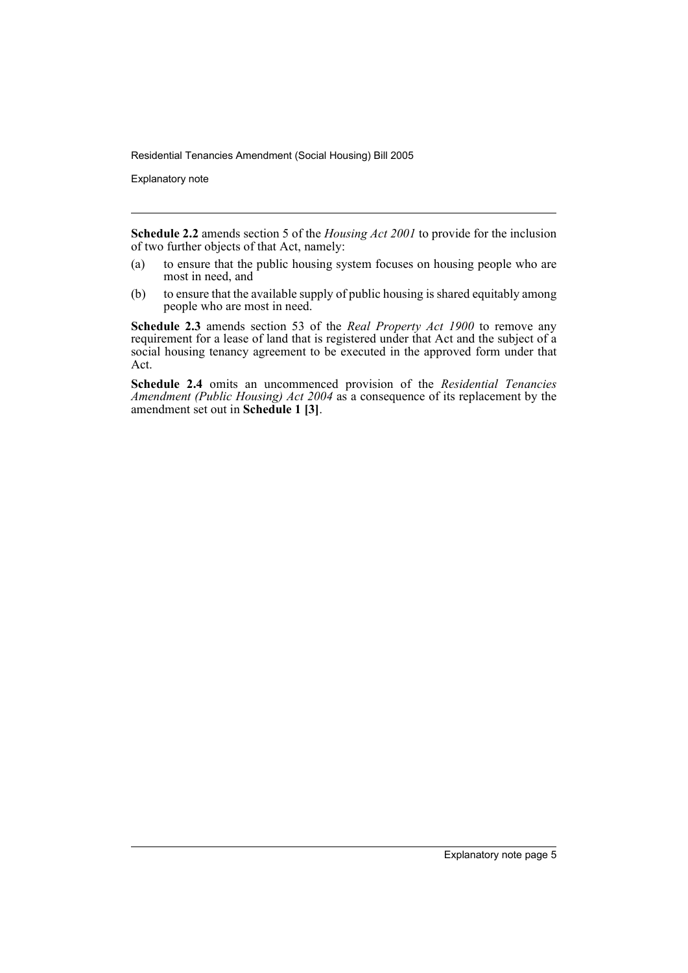Explanatory note

**Schedule 2.2** amends section 5 of the *Housing Act 2001* to provide for the inclusion of two further objects of that Act, namely:

- (a) to ensure that the public housing system focuses on housing people who are most in need, and
- (b) to ensure that the available supply of public housing is shared equitably among people who are most in need.

**Schedule 2.3** amends section 53 of the *Real Property Act 1900* to remove any requirement for a lease of land that is registered under that Act and the subject of a social housing tenancy agreement to be executed in the approved form under that Act.

**Schedule 2.4** omits an uncommenced provision of the *Residential Tenancies Amendment (Public Housing) Act 2004* as a consequence of its replacement by the amendment set out in **Schedule 1 [3]**.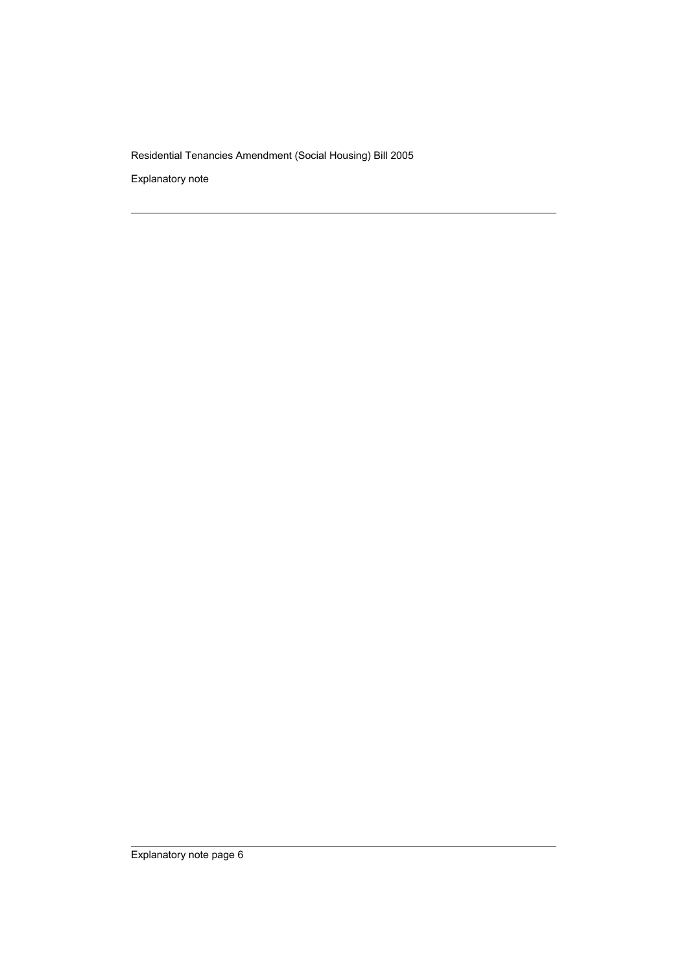Explanatory note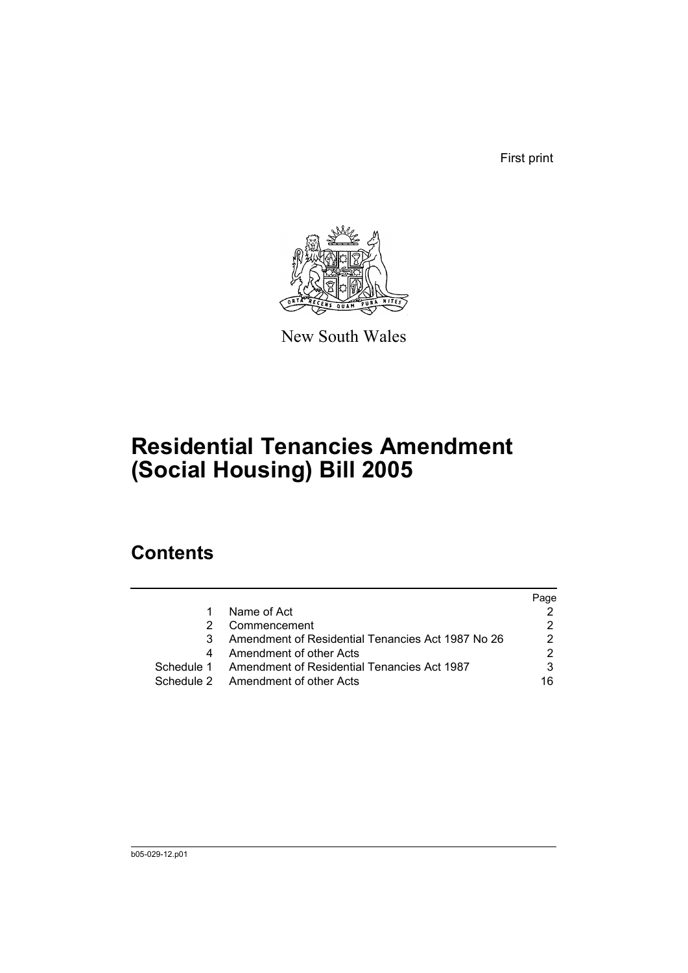First print



New South Wales

# **Residential Tenancies Amendment (Social Housing) Bill 2005**

## **Contents**

|            |                                                   | Page |
|------------|---------------------------------------------------|------|
|            | Name of Act                                       |      |
|            | Commencement                                      |      |
|            | Amendment of Residential Tenancies Act 1987 No 26 | 2    |
| 4          | Amendment of other Acts                           |      |
| Schedule 1 | Amendment of Residential Tenancies Act 1987       |      |
|            | Schedule 2 Amendment of other Acts                | 16   |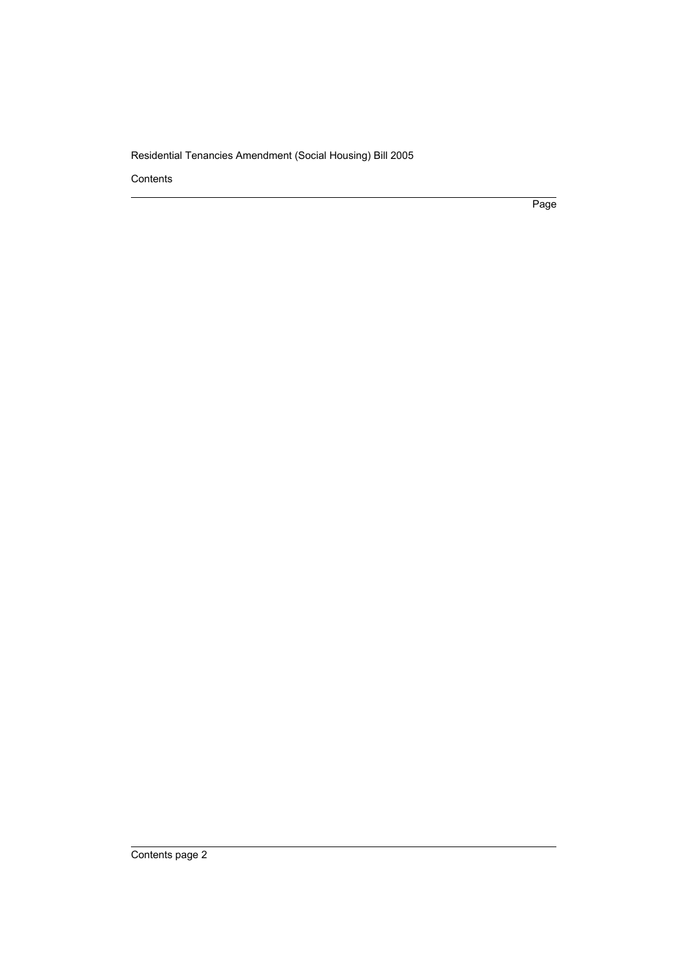Contents

Page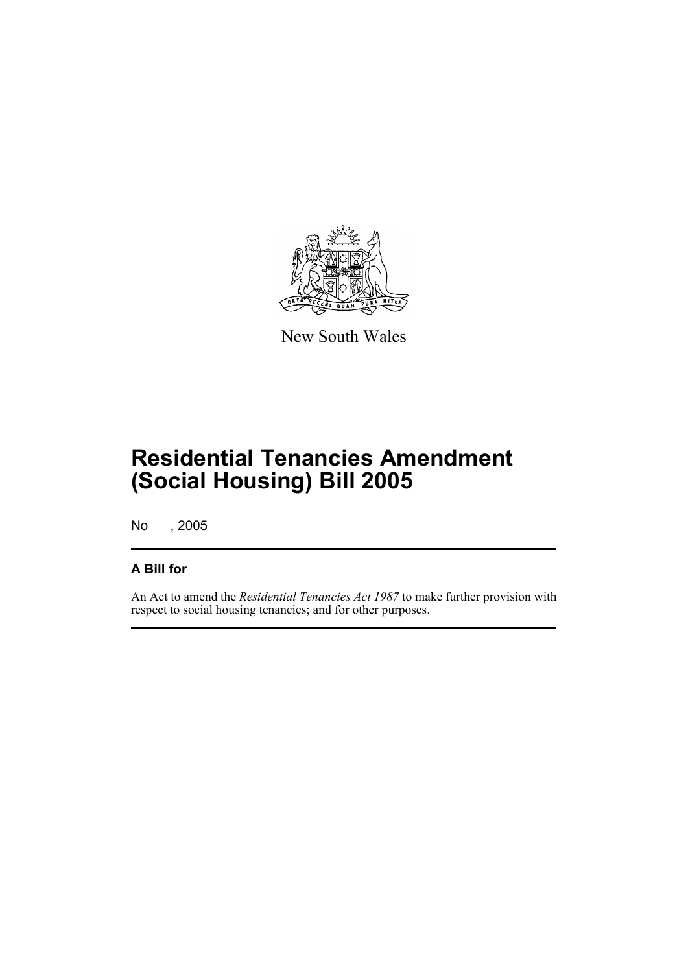

New South Wales

# **Residential Tenancies Amendment (Social Housing) Bill 2005**

No , 2005

### **A Bill for**

An Act to amend the *Residential Tenancies Act 1987* to make further provision with respect to social housing tenancies; and for other purposes.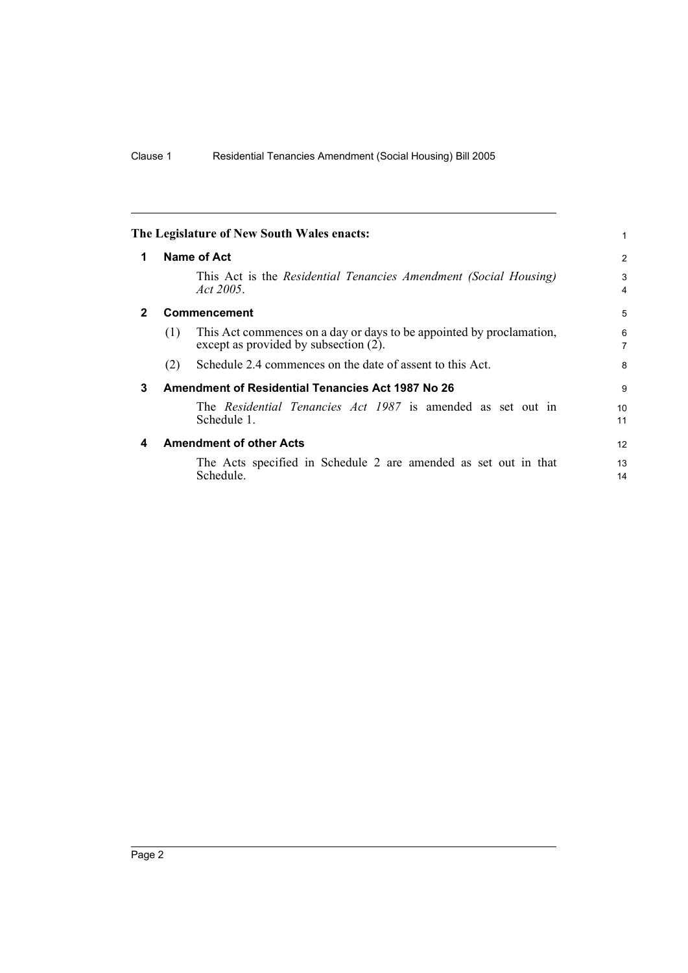<span id="page-9-3"></span><span id="page-9-2"></span><span id="page-9-1"></span><span id="page-9-0"></span>

|              |     | The Legislature of New South Wales enacts:                                                                    | 1                            |
|--------------|-----|---------------------------------------------------------------------------------------------------------------|------------------------------|
| 1            |     | Name of Act                                                                                                   | $\overline{2}$               |
|              |     | This Act is the Residential Tenancies Amendment (Social Housing)<br>Act 2005.                                 | 3<br>$\overline{\mathbf{4}}$ |
| $\mathbf{2}$ |     | Commencement                                                                                                  | 5                            |
|              | (1) | This Act commences on a day or days to be appointed by proclamation,<br>except as provided by subsection (2). | 6<br>$\overline{7}$          |
|              | (2) | Schedule 2.4 commences on the date of assent to this Act.                                                     | 8                            |
| 3            |     | Amendment of Residential Tenancies Act 1987 No 26                                                             | 9                            |
|              |     | The <i>Residential Tenancies Act 1987</i> is amended as set out in<br>Schedule 1.                             | 10<br>11                     |
| 4            |     | <b>Amendment of other Acts</b>                                                                                | 12                           |
|              |     | The Acts specified in Schedule 2 are amended as set out in that<br>Schedule.                                  | 13<br>14                     |
|              |     |                                                                                                               |                              |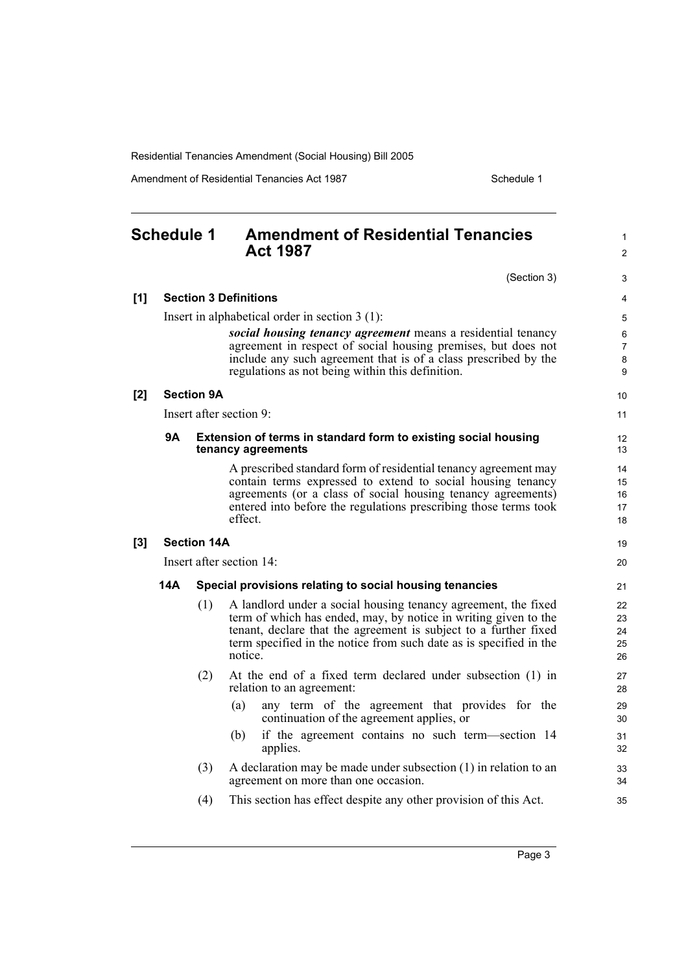Amendment of Residential Tenancies Act 1987 Schedule 1

<span id="page-10-0"></span>

| <b>Schedule 1</b> |           |                    | <b>Amendment of Residential Tenancies</b><br><b>Act 1987</b>                                                                                                                                                                                                                           | 1<br>$\overline{2}$           |
|-------------------|-----------|--------------------|----------------------------------------------------------------------------------------------------------------------------------------------------------------------------------------------------------------------------------------------------------------------------------------|-------------------------------|
|                   |           |                    | (Section 3)                                                                                                                                                                                                                                                                            | 3                             |
| [1]               |           |                    | <b>Section 3 Definitions</b>                                                                                                                                                                                                                                                           | 4                             |
|                   |           |                    | Insert in alphabetical order in section $3(1)$ :                                                                                                                                                                                                                                       | 5                             |
|                   |           |                    | social housing tenancy agreement means a residential tenancy<br>agreement in respect of social housing premises, but does not<br>include any such agreement that is of a class prescribed by the<br>regulations as not being within this definition.                                   | 6<br>$\overline{7}$<br>8<br>9 |
| [2]               |           | <b>Section 9A</b>  |                                                                                                                                                                                                                                                                                        | 10                            |
|                   |           |                    | Insert after section 9:                                                                                                                                                                                                                                                                | 11                            |
|                   | <b>9A</b> |                    | Extension of terms in standard form to existing social housing<br>tenancy agreements                                                                                                                                                                                                   | 12<br>13                      |
|                   |           |                    | A prescribed standard form of residential tenancy agreement may<br>contain terms expressed to extend to social housing tenancy<br>agreements (or a class of social housing tenancy agreements)<br>entered into before the regulations prescribing those terms took<br>effect.          | 14<br>15<br>16<br>17<br>18    |
| [3]               |           | <b>Section 14A</b> |                                                                                                                                                                                                                                                                                        | 19                            |
|                   |           |                    | Insert after section 14:                                                                                                                                                                                                                                                               | 20                            |
|                   | 14A       |                    | Special provisions relating to social housing tenancies                                                                                                                                                                                                                                | 21                            |
|                   |           | (1)                | A landlord under a social housing tenancy agreement, the fixed<br>term of which has ended, may, by notice in writing given to the<br>tenant, declare that the agreement is subject to a further fixed<br>term specified in the notice from such date as is specified in the<br>notice. | 22<br>23<br>24<br>25<br>26    |
|                   |           | (2)                | At the end of a fixed term declared under subsection (1) in<br>relation to an agreement:                                                                                                                                                                                               | 27<br>28                      |
|                   |           |                    | any term of the agreement that provides for the<br>(a)<br>continuation of the agreement applies, or                                                                                                                                                                                    | 29<br>30                      |
|                   |           |                    | if the agreement contains no such term—section 14<br>(b)<br>applies.                                                                                                                                                                                                                   | 31<br>32                      |
|                   |           | (3)                | A declaration may be made under subsection $(1)$ in relation to an<br>agreement on more than one occasion.                                                                                                                                                                             | 33<br>34                      |
|                   |           | (4)                | This section has effect despite any other provision of this Act.                                                                                                                                                                                                                       | 35                            |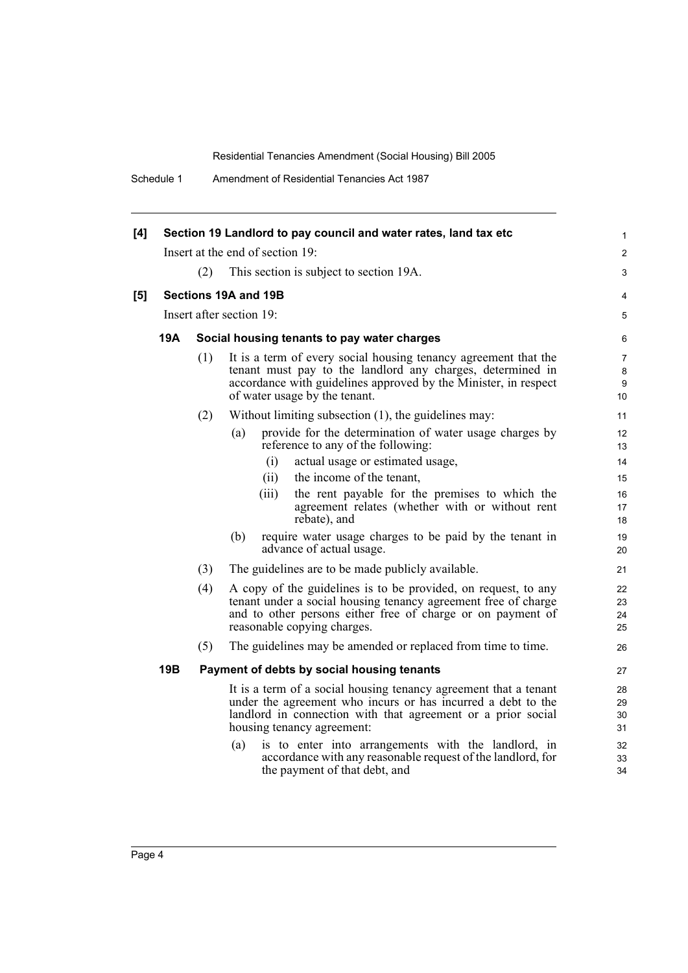Schedule 1 Amendment of Residential Tenancies Act 1987

| [4] |            |                          | Section 19 Landlord to pay council and water rates, land tax etc                                                                                                                                                                                                                                                                                                                             | 1                                      |  |  |  |
|-----|------------|--------------------------|----------------------------------------------------------------------------------------------------------------------------------------------------------------------------------------------------------------------------------------------------------------------------------------------------------------------------------------------------------------------------------------------|----------------------------------------|--|--|--|
|     |            |                          | Insert at the end of section 19:                                                                                                                                                                                                                                                                                                                                                             | $\overline{2}$                         |  |  |  |
|     |            | (2)                      | This section is subject to section 19A.                                                                                                                                                                                                                                                                                                                                                      | 3                                      |  |  |  |
| [5] |            |                          | Sections 19A and 19B                                                                                                                                                                                                                                                                                                                                                                         | 4                                      |  |  |  |
|     |            | Insert after section 19: |                                                                                                                                                                                                                                                                                                                                                                                              |                                        |  |  |  |
|     | <b>19A</b> |                          | Social housing tenants to pay water charges                                                                                                                                                                                                                                                                                                                                                  | 6                                      |  |  |  |
|     |            | (1)                      | It is a term of every social housing tenancy agreement that the<br>tenant must pay to the landlord any charges, determined in<br>accordance with guidelines approved by the Minister, in respect<br>of water usage by the tenant.                                                                                                                                                            | $\overline{7}$<br>8<br>9<br>10         |  |  |  |
|     |            | (2)                      | Without limiting subsection $(1)$ , the guidelines may:                                                                                                                                                                                                                                                                                                                                      | 11                                     |  |  |  |
|     |            |                          | provide for the determination of water usage charges by<br>(a)<br>reference to any of the following:                                                                                                                                                                                                                                                                                         | 12<br>13                               |  |  |  |
|     |            |                          | (i)<br>actual usage or estimated usage,                                                                                                                                                                                                                                                                                                                                                      | 14                                     |  |  |  |
|     |            |                          | the income of the tenant,<br>(ii)                                                                                                                                                                                                                                                                                                                                                            | 15                                     |  |  |  |
|     |            |                          | the rent payable for the premises to which the<br>(iii)<br>agreement relates (whether with or without rent<br>rebate), and                                                                                                                                                                                                                                                                   | 16<br>17<br>18                         |  |  |  |
|     |            |                          | require water usage charges to be paid by the tenant in<br>(b)<br>advance of actual usage.                                                                                                                                                                                                                                                                                                   | 19<br>20                               |  |  |  |
|     |            | (3)                      | The guidelines are to be made publicly available.                                                                                                                                                                                                                                                                                                                                            | 21                                     |  |  |  |
|     |            | (4)                      | A copy of the guidelines is to be provided, on request, to any<br>tenant under a social housing tenancy agreement free of charge<br>and to other persons either free of charge or on payment of<br>reasonable copying charges.                                                                                                                                                               | 22<br>23<br>24<br>25                   |  |  |  |
|     |            | (5)                      | The guidelines may be amended or replaced from time to time.                                                                                                                                                                                                                                                                                                                                 | 26                                     |  |  |  |
|     | <b>19B</b> |                          | Payment of debts by social housing tenants                                                                                                                                                                                                                                                                                                                                                   | 27                                     |  |  |  |
|     |            |                          | It is a term of a social housing tenancy agreement that a tenant<br>under the agreement who incurs or has incurred a debt to the<br>landlord in connection with that agreement or a prior social<br>housing tenancy agreement:<br>is to enter into arrangements with the landlord, in<br>(a)<br>accordance with any reasonable request of the landlord, for<br>the payment of that debt, and | 28<br>29<br>30<br>31<br>32<br>33<br>34 |  |  |  |
|     |            |                          |                                                                                                                                                                                                                                                                                                                                                                                              |                                        |  |  |  |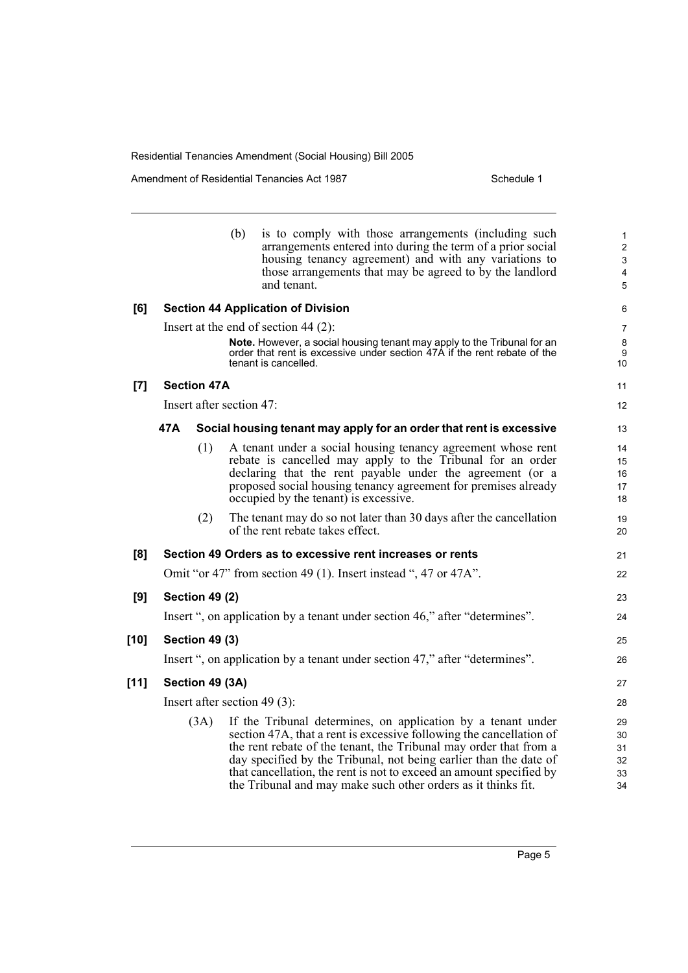Amendment of Residential Tenancies Act 1987 Schedule 1

|        |     |                       | (b)                      | is to comply with those arrangements (including such<br>arrangements entered into during the term of a prior social<br>housing tenancy agreement) and with any variations to<br>those arrangements that may be agreed to by the landlord<br>and tenant. | $\mathbf{1}$<br>$\overline{c}$<br>3<br>$\overline{\mathbf{4}}$<br>5 |
|--------|-----|-----------------------|--------------------------|---------------------------------------------------------------------------------------------------------------------------------------------------------------------------------------------------------------------------------------------------------|---------------------------------------------------------------------|
| [6]    |     |                       |                          | <b>Section 44 Application of Division</b>                                                                                                                                                                                                               | 6                                                                   |
|        |     |                       |                          | Insert at the end of section $44(2)$ :                                                                                                                                                                                                                  | $\overline{7}$                                                      |
|        |     |                       |                          | Note. However, a social housing tenant may apply to the Tribunal for an<br>order that rent is excessive under section 47A if the rent rebate of the<br>tenant is cancelled.                                                                             | $\bf 8$<br>9<br>10                                                  |
| [7]    |     | <b>Section 47A</b>    |                          |                                                                                                                                                                                                                                                         | 11                                                                  |
|        |     |                       | Insert after section 47: |                                                                                                                                                                                                                                                         | 12                                                                  |
|        | 47A |                       |                          | Social housing tenant may apply for an order that rent is excessive                                                                                                                                                                                     | 13                                                                  |
|        |     | (1)                   |                          | A tenant under a social housing tenancy agreement whose rent                                                                                                                                                                                            | 14                                                                  |
|        |     |                       |                          | rebate is cancelled may apply to the Tribunal for an order<br>declaring that the rent payable under the agreement (or a                                                                                                                                 | 15<br>16                                                            |
|        |     |                       |                          | proposed social housing tenancy agreement for premises already                                                                                                                                                                                          | 17                                                                  |
|        |     |                       |                          | occupied by the tenant) is excessive.                                                                                                                                                                                                                   | 18                                                                  |
|        |     | (2)                   |                          | The tenant may do so not later than 30 days after the cancellation<br>of the rent rebate takes effect.                                                                                                                                                  | 19<br>20                                                            |
| [8]    |     |                       |                          | Section 49 Orders as to excessive rent increases or rents                                                                                                                                                                                               | 21                                                                  |
|        |     |                       |                          | Omit "or 47" from section 49 (1). Insert instead ", 47 or 47A".                                                                                                                                                                                         | 22                                                                  |
| [9]    |     | <b>Section 49 (2)</b> |                          |                                                                                                                                                                                                                                                         | 23                                                                  |
|        |     |                       |                          | Insert ", on application by a tenant under section 46," after "determines".                                                                                                                                                                             | 24                                                                  |
| [10]   |     | <b>Section 49 (3)</b> |                          |                                                                                                                                                                                                                                                         | 25                                                                  |
|        |     |                       |                          | Insert ", on application by a tenant under section 47," after "determines".                                                                                                                                                                             | 26                                                                  |
| $[11]$ |     | Section 49 (3A)       |                          |                                                                                                                                                                                                                                                         | 27                                                                  |
|        |     |                       |                          | Insert after section 49 $(3)$ :                                                                                                                                                                                                                         | 28                                                                  |
|        |     | (3A)                  |                          | If the Tribunal determines, on application by a tenant under                                                                                                                                                                                            | 29                                                                  |
|        |     |                       |                          | section 47A, that a rent is excessive following the cancellation of<br>the rent rebate of the tenant, the Tribunal may order that from a                                                                                                                | 30<br>31                                                            |
|        |     |                       |                          | day specified by the Tribunal, not being earlier than the date of                                                                                                                                                                                       | 32                                                                  |
|        |     |                       |                          | that cancellation, the rent is not to exceed an amount specified by                                                                                                                                                                                     | 33                                                                  |
|        |     |                       |                          | the Tribunal and may make such other orders as it thinks fit.                                                                                                                                                                                           | 34                                                                  |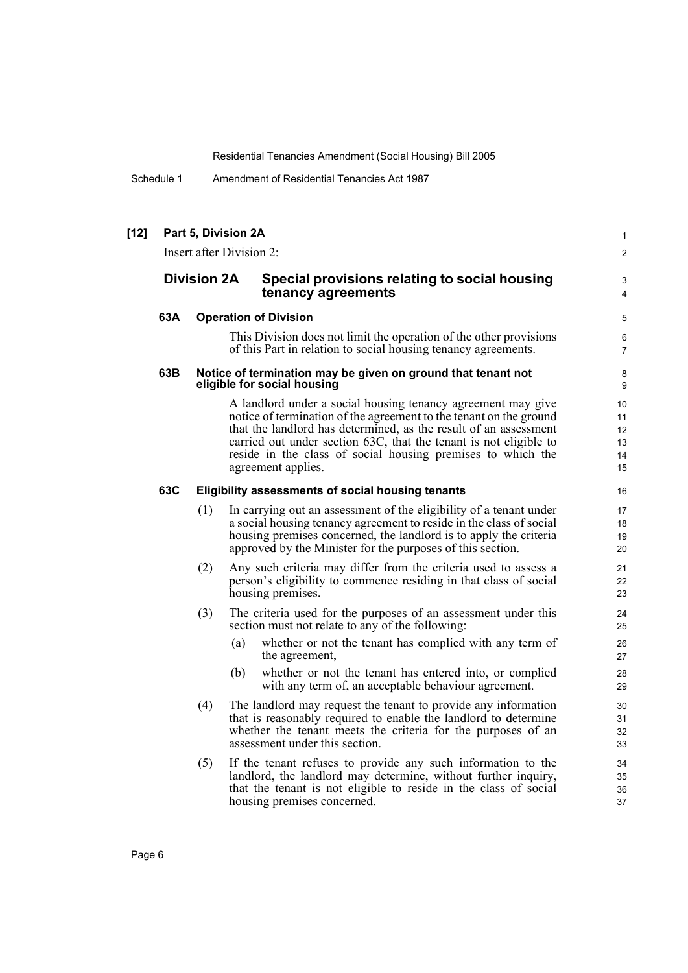Schedule 1 Amendment of Residential Tenancies Act 1987

| $[12]$ | Part 5, Division 2A<br>Insert after Division 2: |                              |                                                                                                                                                                                                                                                                                                                                                                  |                                  |  |
|--------|-------------------------------------------------|------------------------------|------------------------------------------------------------------------------------------------------------------------------------------------------------------------------------------------------------------------------------------------------------------------------------------------------------------------------------------------------------------|----------------------------------|--|
|        |                                                 | <b>Division 2A</b>           | Special provisions relating to social housing<br>tenancy agreements                                                                                                                                                                                                                                                                                              | 3<br>4                           |  |
|        | 63A                                             | <b>Operation of Division</b> |                                                                                                                                                                                                                                                                                                                                                                  |                                  |  |
|        |                                                 |                              | This Division does not limit the operation of the other provisions<br>of this Part in relation to social housing tenancy agreements.                                                                                                                                                                                                                             | 6<br>$\overline{7}$              |  |
|        | 63B                                             |                              | Notice of termination may be given on ground that tenant not<br>eligible for social housing                                                                                                                                                                                                                                                                      | 8<br>9                           |  |
|        |                                                 |                              | A landlord under a social housing tenancy agreement may give<br>notice of termination of the agreement to the tenant on the ground<br>that the landlord has determined, as the result of an assessment<br>carried out under section 63C, that the tenant is not eligible to<br>reside in the class of social housing premises to which the<br>agreement applies. | 10<br>11<br>12<br>13<br>14<br>15 |  |
|        | 63C                                             |                              | Eligibility assessments of social housing tenants                                                                                                                                                                                                                                                                                                                | 16                               |  |
|        |                                                 | (1)                          | In carrying out an assessment of the eligibility of a tenant under<br>a social housing tenancy agreement to reside in the class of social<br>housing premises concerned, the landlord is to apply the criteria<br>approved by the Minister for the purposes of this section.                                                                                     | 17<br>18<br>19<br>20             |  |
|        |                                                 | (2)                          | Any such criteria may differ from the criteria used to assess a<br>person's eligibility to commence residing in that class of social<br>housing premises.                                                                                                                                                                                                        | 21<br>22<br>23                   |  |
|        |                                                 | (3)                          | The criteria used for the purposes of an assessment under this<br>section must not relate to any of the following:                                                                                                                                                                                                                                               | 24<br>25                         |  |
|        |                                                 |                              | (a)<br>whether or not the tenant has complied with any term of<br>the agreement,                                                                                                                                                                                                                                                                                 | 26<br>27                         |  |
|        |                                                 |                              | whether or not the tenant has entered into, or complied<br>(b)<br>with any term of, an acceptable behaviour agreement.                                                                                                                                                                                                                                           | 28<br>29                         |  |
|        |                                                 | (4)                          | The landlord may request the tenant to provide any information<br>that is reasonably required to enable the landlord to determine<br>whether the tenant meets the criteria for the purposes of an<br>assessment under this section.                                                                                                                              | 30<br>31<br>32<br>33             |  |
|        |                                                 | (5)                          | If the tenant refuses to provide any such information to the<br>landlord, the landlord may determine, without further inquiry,<br>that the tenant is not eligible to reside in the class of social<br>housing premises concerned.                                                                                                                                | 34<br>35<br>36<br>37             |  |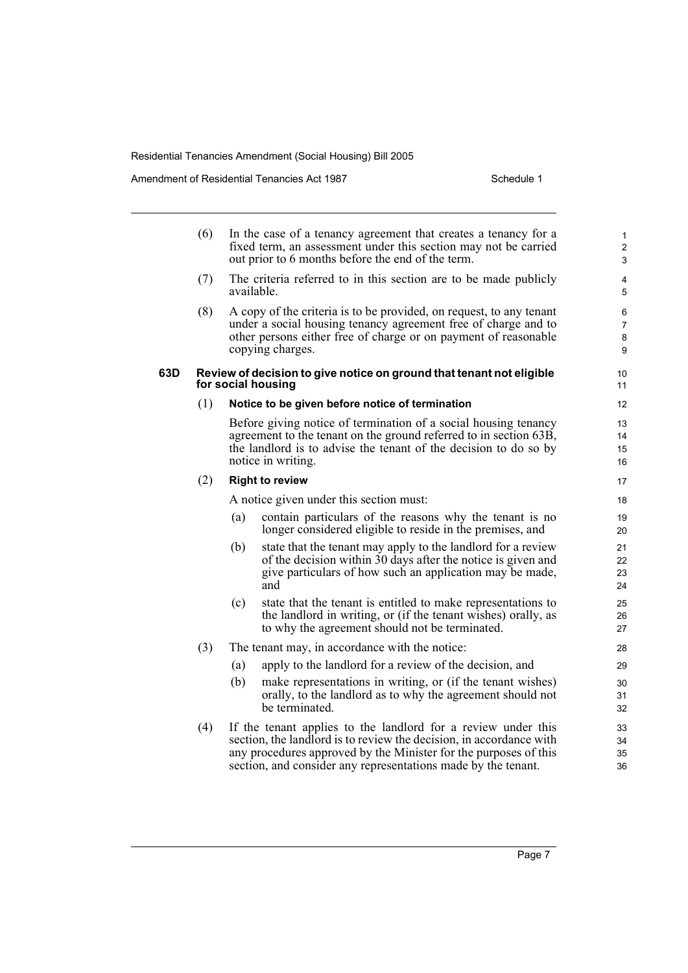Amendment of Residential Tenancies Act 1987 Schedule 1

|     | (6) | In the case of a tenancy agreement that creates a tenancy for a<br>fixed term, an assessment under this section may not be carried<br>out prior to 6 months before the end of the term.                                                                                   | $\mathbf{1}$<br>$\overline{2}$<br>3 |
|-----|-----|---------------------------------------------------------------------------------------------------------------------------------------------------------------------------------------------------------------------------------------------------------------------------|-------------------------------------|
|     | (7) | The criteria referred to in this section are to be made publicly<br>available.                                                                                                                                                                                            | 4<br>5                              |
|     | (8) | A copy of the criteria is to be provided, on request, to any tenant<br>under a social housing tenancy agreement free of charge and to<br>other persons either free of charge or on payment of reasonable<br>copying charges.                                              | 6<br>$\overline{7}$<br>8<br>9       |
| 63D |     | Review of decision to give notice on ground that tenant not eligible<br>for social housing                                                                                                                                                                                | 10<br>11                            |
|     | (1) | Notice to be given before notice of termination                                                                                                                                                                                                                           | 12                                  |
|     |     | Before giving notice of termination of a social housing tenancy<br>agreement to the tenant on the ground referred to in section 63B,<br>the landlord is to advise the tenant of the decision to do so by<br>notice in writing.                                            | 13<br>14<br>15<br>16                |
|     | (2) | <b>Right to review</b>                                                                                                                                                                                                                                                    | 17                                  |
|     |     | A notice given under this section must:                                                                                                                                                                                                                                   | 18                                  |
|     |     | contain particulars of the reasons why the tenant is no<br>(a)<br>longer considered eligible to reside in the premises, and                                                                                                                                               | 19<br>20                            |
|     |     | state that the tenant may apply to the landlord for a review<br>(b)<br>of the decision within 30 days after the notice is given and<br>give particulars of how such an application may be made,<br>and                                                                    | 21<br>22<br>23<br>24                |
|     |     | state that the tenant is entitled to make representations to<br>(c)<br>the landlord in writing, or (if the tenant wishes) orally, as<br>to why the agreement should not be terminated.                                                                                    | 25<br>26<br>27                      |
|     | (3) | The tenant may, in accordance with the notice:                                                                                                                                                                                                                            | 28                                  |
|     |     | apply to the landlord for a review of the decision, and<br>(a)                                                                                                                                                                                                            | 29                                  |
|     |     | make representations in writing, or (if the tenant wishes)<br>(b)<br>orally, to the landlord as to why the agreement should not<br>be terminated.                                                                                                                         | 30<br>31<br>32                      |
|     | (4) | If the tenant applies to the landlord for a review under this<br>section, the landlord is to review the decision, in accordance with<br>any procedures approved by the Minister for the purposes of this<br>section, and consider any representations made by the tenant. | 33<br>34<br>35<br>36                |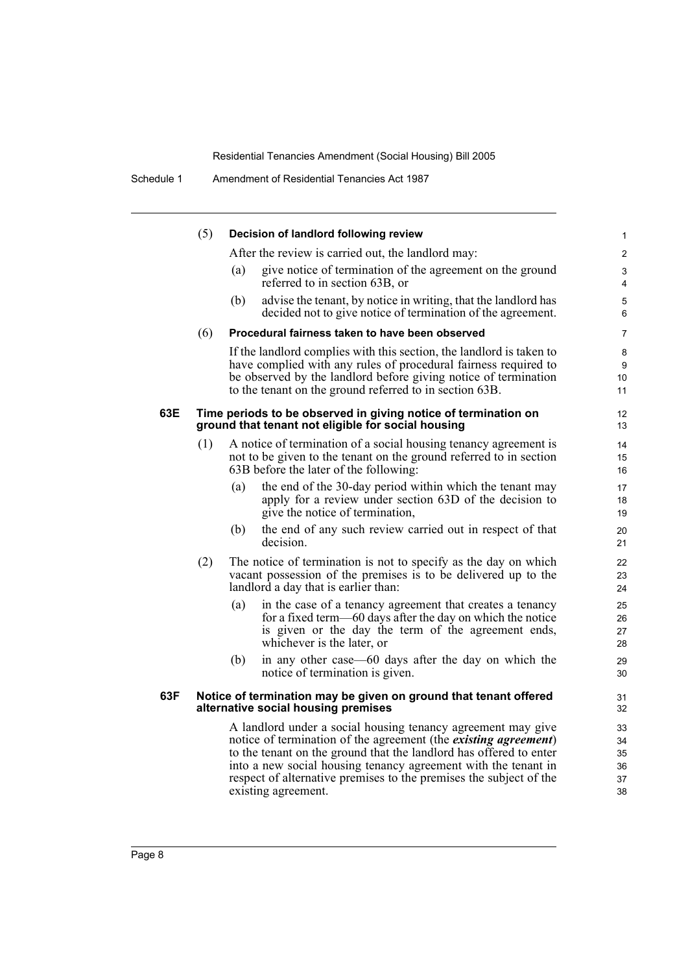|     | (5) |     | Decision of landlord following review                                                                                                                                                                                                                                                                                                                                        | 1                                |
|-----|-----|-----|------------------------------------------------------------------------------------------------------------------------------------------------------------------------------------------------------------------------------------------------------------------------------------------------------------------------------------------------------------------------------|----------------------------------|
|     |     |     | After the review is carried out, the landlord may:                                                                                                                                                                                                                                                                                                                           | $\overline{2}$                   |
|     |     | (a) | give notice of termination of the agreement on the ground<br>referred to in section 63B, or                                                                                                                                                                                                                                                                                  | 3<br>4                           |
|     |     | (b) | advise the tenant, by notice in writing, that the landlord has<br>decided not to give notice of termination of the agreement.                                                                                                                                                                                                                                                | 5<br>6                           |
|     | (6) |     | Procedural fairness taken to have been observed                                                                                                                                                                                                                                                                                                                              | $\overline{7}$                   |
|     |     |     | If the landlord complies with this section, the landlord is taken to<br>have complied with any rules of procedural fairness required to<br>be observed by the landlord before giving notice of termination<br>to the tenant on the ground referred to in section 63B.                                                                                                        | 8<br>9<br>10 <sup>1</sup><br>11  |
| 63E |     |     | Time periods to be observed in giving notice of termination on<br>ground that tenant not eligible for social housing                                                                                                                                                                                                                                                         | 12<br>13                         |
|     | (1) |     | A notice of termination of a social housing tenancy agreement is<br>not to be given to the tenant on the ground referred to in section<br>63B before the later of the following:                                                                                                                                                                                             | 14<br>15<br>16                   |
|     |     | (a) | the end of the 30-day period within which the tenant may<br>apply for a review under section 63D of the decision to<br>give the notice of termination,                                                                                                                                                                                                                       | 17<br>18<br>19                   |
|     |     | (b) | the end of any such review carried out in respect of that<br>decision.                                                                                                                                                                                                                                                                                                       | 20<br>21                         |
|     | (2) |     | The notice of termination is not to specify as the day on which<br>vacant possession of the premises is to be delivered up to the<br>landlord a day that is earlier than:                                                                                                                                                                                                    | 22<br>23<br>24                   |
|     |     | (a) | in the case of a tenancy agreement that creates a tenancy<br>for a fixed term—60 days after the day on which the notice<br>is given or the day the term of the agreement ends,<br>whichever is the later, or                                                                                                                                                                 | 25<br>26<br>27<br>28             |
|     |     | (b) | in any other case—60 days after the day on which the<br>notice of termination is given.                                                                                                                                                                                                                                                                                      | 29<br>30                         |
| 63F |     |     | Notice of termination may be given on ground that tenant offered<br>alternative social housing premises                                                                                                                                                                                                                                                                      | 31<br>32                         |
|     |     |     | A landlord under a social housing tenancy agreement may give<br>notice of termination of the agreement (the <i>existing agreement</i> )<br>to the tenant on the ground that the landlord has offered to enter<br>into a new social housing tenancy agreement with the tenant in<br>respect of alternative premises to the premises the subject of the<br>existing agreement. | 33<br>34<br>35<br>36<br>37<br>38 |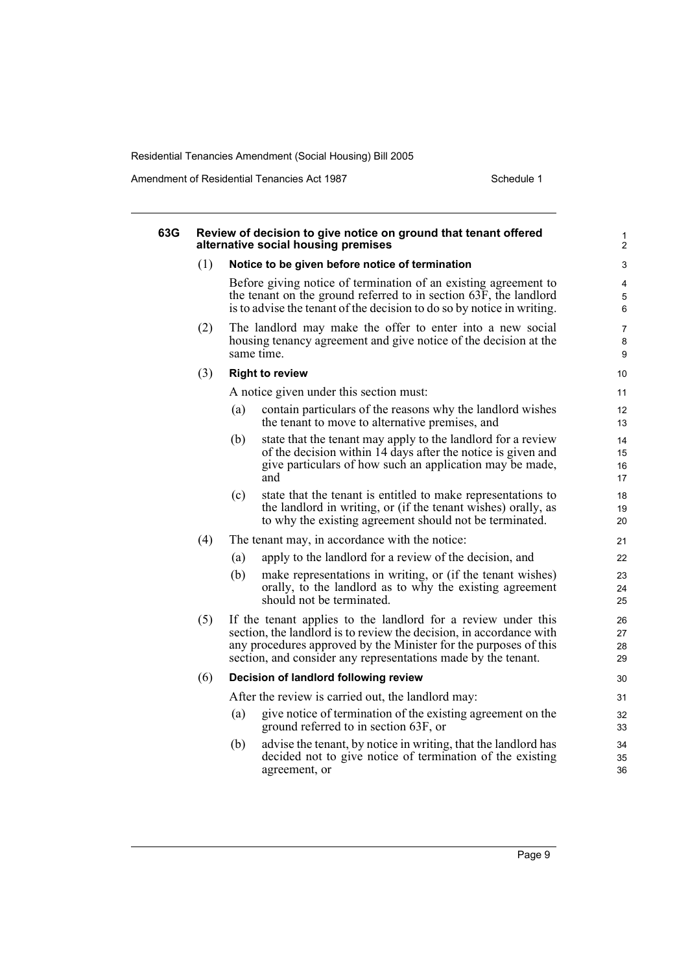Amendment of Residential Tenancies Act 1987 Schedule 1

| 63G | Review of decision to give notice on ground that tenant offered<br>alternative social housing premises |                                                                                                                                              |                                                                                                                                                                                                                                                                           |                      |  |  |
|-----|--------------------------------------------------------------------------------------------------------|----------------------------------------------------------------------------------------------------------------------------------------------|---------------------------------------------------------------------------------------------------------------------------------------------------------------------------------------------------------------------------------------------------------------------------|----------------------|--|--|
|     | (1)                                                                                                    |                                                                                                                                              | Notice to be given before notice of termination                                                                                                                                                                                                                           | 3                    |  |  |
|     |                                                                                                        |                                                                                                                                              | Before giving notice of termination of an existing agreement to<br>the tenant on the ground referred to in section 63F, the landlord<br>is to advise the tenant of the decision to do so by notice in writing.                                                            | 4<br>5<br>6          |  |  |
|     | (2)                                                                                                    | The landlord may make the offer to enter into a new social<br>housing tenancy agreement and give notice of the decision at the<br>same time. |                                                                                                                                                                                                                                                                           |                      |  |  |
|     | (3)                                                                                                    |                                                                                                                                              | <b>Right to review</b>                                                                                                                                                                                                                                                    | 10                   |  |  |
|     |                                                                                                        |                                                                                                                                              | A notice given under this section must:                                                                                                                                                                                                                                   | 11                   |  |  |
|     |                                                                                                        | (a)                                                                                                                                          | contain particulars of the reasons why the landlord wishes<br>the tenant to move to alternative premises, and                                                                                                                                                             | 12<br>13             |  |  |
|     |                                                                                                        | (b)                                                                                                                                          | state that the tenant may apply to the landlord for a review<br>of the decision within 14 days after the notice is given and<br>give particulars of how such an application may be made,<br>and                                                                           | 14<br>15<br>16<br>17 |  |  |
|     |                                                                                                        | (c)                                                                                                                                          | state that the tenant is entitled to make representations to<br>the landlord in writing, or (if the tenant wishes) orally, as<br>to why the existing agreement should not be terminated.                                                                                  | 18<br>19<br>20       |  |  |
|     | (4)                                                                                                    |                                                                                                                                              | The tenant may, in accordance with the notice:                                                                                                                                                                                                                            | 21                   |  |  |
|     |                                                                                                        | (a)                                                                                                                                          | apply to the landlord for a review of the decision, and                                                                                                                                                                                                                   | 22                   |  |  |
|     |                                                                                                        | (b)                                                                                                                                          | make representations in writing, or (if the tenant wishes)<br>orally, to the landlord as to why the existing agreement<br>should not be terminated.                                                                                                                       | 23<br>24<br>25       |  |  |
|     | (5)                                                                                                    |                                                                                                                                              | If the tenant applies to the landlord for a review under this<br>section, the landlord is to review the decision, in accordance with<br>any procedures approved by the Minister for the purposes of this<br>section, and consider any representations made by the tenant. | 26<br>27<br>28<br>29 |  |  |
|     | (6)                                                                                                    |                                                                                                                                              | Decision of landlord following review                                                                                                                                                                                                                                     | 30                   |  |  |
|     |                                                                                                        |                                                                                                                                              | After the review is carried out, the landlord may:                                                                                                                                                                                                                        | 31                   |  |  |
|     |                                                                                                        | (a)                                                                                                                                          | give notice of termination of the existing agreement on the<br>ground referred to in section 63F, or                                                                                                                                                                      | 32<br>33             |  |  |
|     |                                                                                                        | (b)                                                                                                                                          | advise the tenant, by notice in writing, that the landlord has<br>decided not to give notice of termination of the existing<br>agreement, or                                                                                                                              | 34<br>35<br>36       |  |  |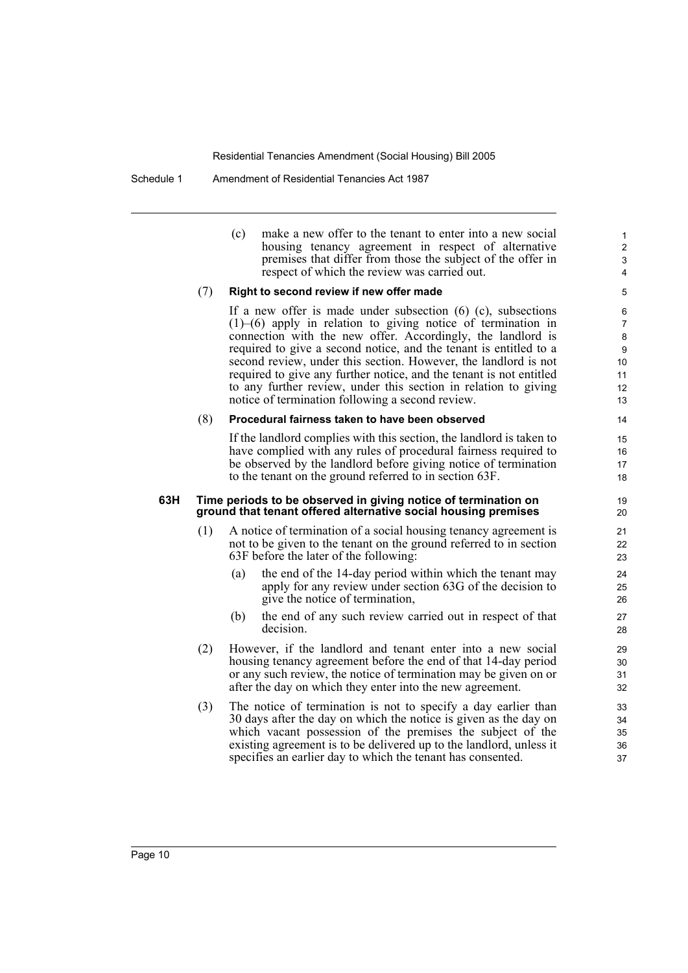Schedule 1 Amendment of Residential Tenancies Act 1987

|     |                                                                                                                                  | make a new offer to the tenant to enter into a new social<br>(c)<br>housing tenancy agreement in respect of alternative<br>premises that differ from those the subject of the offer in<br>respect of which the review was carried out.                                                                                                 | $\mathbf{1}$<br>$\overline{2}$<br>3<br>4 |  |  |  |
|-----|----------------------------------------------------------------------------------------------------------------------------------|----------------------------------------------------------------------------------------------------------------------------------------------------------------------------------------------------------------------------------------------------------------------------------------------------------------------------------------|------------------------------------------|--|--|--|
|     | (7)                                                                                                                              | Right to second review if new offer made                                                                                                                                                                                                                                                                                               | 5                                        |  |  |  |
|     |                                                                                                                                  | If a new offer is made under subsection $(6)$ $(c)$ , subsections                                                                                                                                                                                                                                                                      | 6                                        |  |  |  |
|     |                                                                                                                                  | $(1)$ – $(6)$ apply in relation to giving notice of termination in                                                                                                                                                                                                                                                                     | 7                                        |  |  |  |
|     |                                                                                                                                  | connection with the new offer. Accordingly, the landlord is                                                                                                                                                                                                                                                                            | 8                                        |  |  |  |
|     |                                                                                                                                  | required to give a second notice, and the tenant is entitled to a<br>second review, under this section. However, the landlord is not                                                                                                                                                                                                   | $\boldsymbol{9}$<br>10                   |  |  |  |
|     |                                                                                                                                  | required to give any further notice, and the tenant is not entitled                                                                                                                                                                                                                                                                    | 11                                       |  |  |  |
|     |                                                                                                                                  | to any further review, under this section in relation to giving                                                                                                                                                                                                                                                                        | 12                                       |  |  |  |
|     |                                                                                                                                  | notice of termination following a second review.                                                                                                                                                                                                                                                                                       | 13                                       |  |  |  |
|     | (8)                                                                                                                              | Procedural fairness taken to have been observed                                                                                                                                                                                                                                                                                        | 14                                       |  |  |  |
|     |                                                                                                                                  | If the landlord complies with this section, the landlord is taken to                                                                                                                                                                                                                                                                   | 15                                       |  |  |  |
|     |                                                                                                                                  | have complied with any rules of procedural fairness required to                                                                                                                                                                                                                                                                        | 16                                       |  |  |  |
|     |                                                                                                                                  | be observed by the landlord before giving notice of termination                                                                                                                                                                                                                                                                        | 17                                       |  |  |  |
|     |                                                                                                                                  | to the tenant on the ground referred to in section 63F.                                                                                                                                                                                                                                                                                | 18                                       |  |  |  |
| 63H | Time periods to be observed in giving notice of termination on<br>ground that tenant offered alternative social housing premises |                                                                                                                                                                                                                                                                                                                                        |                                          |  |  |  |
|     | (1)                                                                                                                              | A notice of termination of a social housing tenancy agreement is<br>not to be given to the tenant on the ground referred to in section<br>63F before the later of the following:                                                                                                                                                       | 21<br>22<br>23                           |  |  |  |
|     |                                                                                                                                  | the end of the 14-day period within which the tenant may<br>(a)<br>apply for any review under section 63G of the decision to<br>give the notice of termination,                                                                                                                                                                        | 24<br>25<br>26                           |  |  |  |
|     |                                                                                                                                  | the end of any such review carried out in respect of that<br>(b)<br>decision.                                                                                                                                                                                                                                                          | 27<br>28                                 |  |  |  |
|     | (2)                                                                                                                              | However, if the landlord and tenant enter into a new social<br>housing tenancy agreement before the end of that 14-day period<br>or any such review, the notice of termination may be given on or<br>after the day on which they enter into the new agreement.                                                                         | 29<br>30<br>31<br>32                     |  |  |  |
|     | (3)                                                                                                                              | The notice of termination is not to specify a day earlier than<br>30 days after the day on which the notice is given as the day on<br>which vacant possession of the premises the subject of the<br>existing agreement is to be delivered up to the landlord, unless it<br>specifies an earlier day to which the tenant has consented. | 33<br>34<br>35<br>36<br>37               |  |  |  |
|     |                                                                                                                                  |                                                                                                                                                                                                                                                                                                                                        |                                          |  |  |  |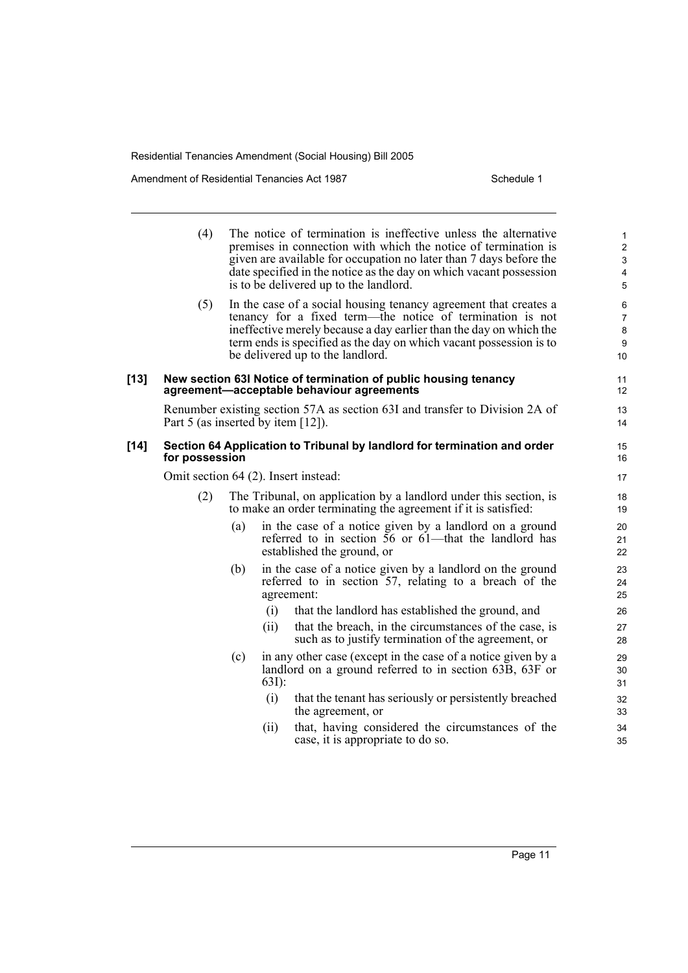Amendment of Residential Tenancies Act 1987 Schedule 1

|        | (4)            |                                      | The notice of termination is ineffective unless the alternative<br>premises in connection with which the notice of termination is<br>given are available for occupation no later than 7 days before the<br>date specified in the notice as the day on which vacant possession<br>is to be delivered up to the landlord. | $\mathbf{1}$<br>$\overline{c}$<br>$\mathbf{3}$<br>$\overline{\mathbf{4}}$<br>5 |
|--------|----------------|--------------------------------------|-------------------------------------------------------------------------------------------------------------------------------------------------------------------------------------------------------------------------------------------------------------------------------------------------------------------------|--------------------------------------------------------------------------------|
|        | (5)            |                                      | In the case of a social housing tenancy agreement that creates a<br>tenancy for a fixed term—the notice of termination is not<br>ineffective merely because a day earlier than the day on which the<br>term ends is specified as the day on which vacant possession is to<br>be delivered up to the landlord.           | 6<br>$\overline{7}$<br>8<br>9<br>10                                            |
| [13]   |                |                                      | New section 63I Notice of termination of public housing tenancy<br>agreement-acceptable behaviour agreements                                                                                                                                                                                                            | 11<br>12                                                                       |
|        |                | Part 5 (as inserted by item [12]).   | Renumber existing section 57A as section 63I and transfer to Division 2A of                                                                                                                                                                                                                                             | 13<br>14                                                                       |
| $[14]$ | for possession |                                      | Section 64 Application to Tribunal by landlord for termination and order                                                                                                                                                                                                                                                | 15<br>16                                                                       |
|        |                | Omit section 64 (2). Insert instead: |                                                                                                                                                                                                                                                                                                                         | 17                                                                             |
|        | (2)            |                                      | The Tribunal, on application by a landlord under this section, is<br>to make an order terminating the agreement if it is satisfied:                                                                                                                                                                                     | 18<br>19                                                                       |
|        |                | (a)                                  | in the case of a notice given by a landlord on a ground<br>referred to in section $56$ or $61$ —that the landlord has<br>established the ground, or                                                                                                                                                                     | 20<br>21<br>22                                                                 |
|        |                | (b)                                  | in the case of a notice given by a landlord on the ground<br>referred to in section 57, relating to a breach of the<br>agreement:                                                                                                                                                                                       | 23<br>24<br>25                                                                 |
|        |                | (i)                                  | that the landlord has established the ground, and                                                                                                                                                                                                                                                                       | 26                                                                             |
|        |                | (ii)                                 | that the breach, in the circumstances of the case, is<br>such as to justify termination of the agreement, or                                                                                                                                                                                                            | 27<br>28                                                                       |
|        |                | (c)<br>$63I$ :                       | in any other case (except in the case of a notice given by a<br>landlord on a ground referred to in section 63B, 63F or                                                                                                                                                                                                 | 29<br>30<br>31                                                                 |
|        |                | (i)                                  | that the tenant has seriously or persistently breached<br>the agreement, or                                                                                                                                                                                                                                             | 32<br>33                                                                       |
|        |                | (ii)                                 | that, having considered the circumstances of the<br>case, it is appropriate to do so.                                                                                                                                                                                                                                   | 34<br>35                                                                       |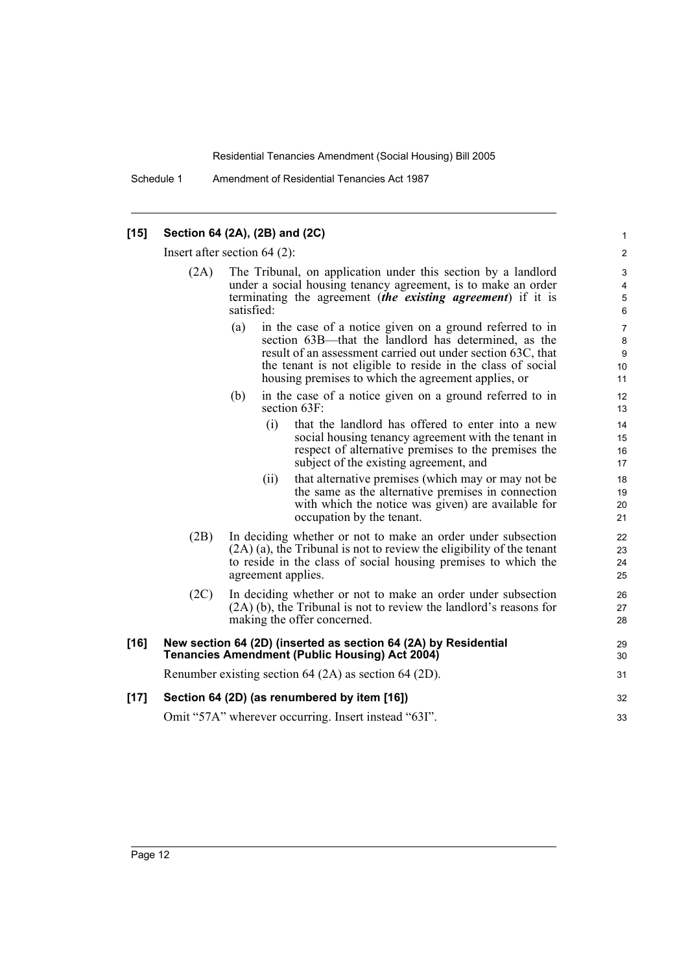Schedule 1 Amendment of Residential Tenancies Act 1987

#### **[15] Section 64 (2A), (2B) and (2C)**

Insert after section 64 (2):

| (2A) | The Tribunal, on application under this section by a landlord<br>under a social housing tenancy agreement, is to make an order |  |
|------|--------------------------------------------------------------------------------------------------------------------------------|--|
|      | terminating the agreement <i>(the existing agreement)</i> if it is<br>satisfied:                                               |  |

(a) in the case of a notice given on a ground referred to in section 63B—that the landlord has determined, as the result of an assessment carried out under section 63C, that the tenant is not eligible to reside in the class of social housing premises to which the agreement applies, or

- (b) in the case of a notice given on a ground referred to in section 63F:
	- (i) that the landlord has offered to enter into a new social housing tenancy agreement with the tenant in respect of alternative premises to the premises the subject of the existing agreement, and
	- (ii) that alternative premises (which may or may not be the same as the alternative premises in connection with which the notice was given) are available for occupation by the tenant.
- (2B) In deciding whether or not to make an order under subsection (2A) (a), the Tribunal is not to review the eligibility of the tenant to reside in the class of social housing premises to which the agreement applies.
- (2C) In deciding whether or not to make an order under subsection (2A) (b), the Tribunal is not to review the landlord's reasons for making the offer concerned.

#### **[16] New section 64 (2D) (inserted as section 64 (2A) by Residential Tenancies Amendment (Public Housing) Act 2004)** Renumber existing section 64 (2A) as section 64 (2D).  $29$ 30 31

#### **[17] Section 64 (2D) (as renumbered by item [16])** Omit "57A" wherever occurring. Insert instead "63I". 32 33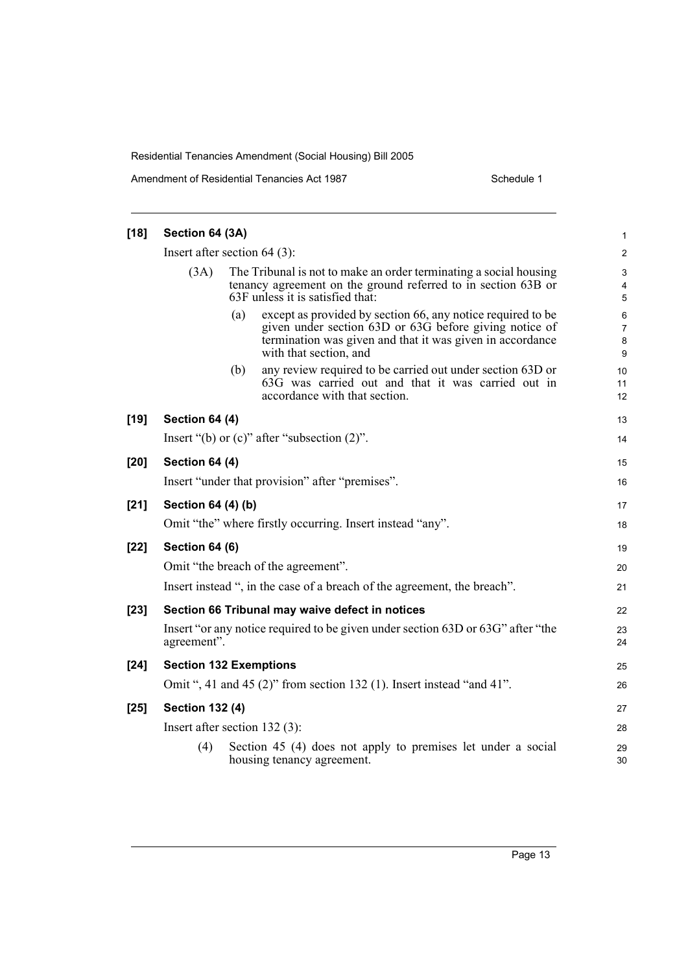| $[18]$ | Section 64 (3A)                                           |                                                                                                                                                                        |                                                                                                                                                                                                              |                                             |  |
|--------|-----------------------------------------------------------|------------------------------------------------------------------------------------------------------------------------------------------------------------------------|--------------------------------------------------------------------------------------------------------------------------------------------------------------------------------------------------------------|---------------------------------------------|--|
|        | Insert after section $64$ (3):                            |                                                                                                                                                                        |                                                                                                                                                                                                              |                                             |  |
|        | (3A)                                                      | The Tribunal is not to make an order terminating a social housing<br>tenancy agreement on the ground referred to in section 63B or<br>63F unless it is satisfied that: |                                                                                                                                                                                                              | $\mathsf 3$<br>$\overline{\mathbf{4}}$<br>5 |  |
|        |                                                           | (a)                                                                                                                                                                    | except as provided by section 66, any notice required to be<br>given under section 63D or 63G before giving notice of<br>termination was given and that it was given in accordance<br>with that section, and | 6<br>$\overline{7}$<br>8<br>9               |  |
|        |                                                           | (b)                                                                                                                                                                    | any review required to be carried out under section 63D or<br>63G was carried out and that it was carried out in<br>accordance with that section.                                                            | 10<br>11<br>12                              |  |
| $[19]$ | <b>Section 64 (4)</b>                                     |                                                                                                                                                                        |                                                                                                                                                                                                              | 13                                          |  |
|        |                                                           |                                                                                                                                                                        | Insert "(b) or $(c)$ " after "subsection $(2)$ ".                                                                                                                                                            | 14                                          |  |
| [20]   | <b>Section 64 (4)</b>                                     |                                                                                                                                                                        |                                                                                                                                                                                                              |                                             |  |
|        |                                                           |                                                                                                                                                                        | Insert "under that provision" after "premises".                                                                                                                                                              | 16                                          |  |
| $[21]$ | Section 64 (4) (b)                                        |                                                                                                                                                                        |                                                                                                                                                                                                              | 17                                          |  |
|        | Omit "the" where firstly occurring. Insert instead "any". |                                                                                                                                                                        |                                                                                                                                                                                                              |                                             |  |
| $[22]$ | <b>Section 64 (6)</b>                                     |                                                                                                                                                                        |                                                                                                                                                                                                              | 19                                          |  |
|        | Omit "the breach of the agreement".                       |                                                                                                                                                                        |                                                                                                                                                                                                              |                                             |  |
|        |                                                           |                                                                                                                                                                        | Insert instead ", in the case of a breach of the agreement, the breach".                                                                                                                                     | 21                                          |  |
| $[23]$ | Section 66 Tribunal may waive defect in notices           |                                                                                                                                                                        |                                                                                                                                                                                                              | 22                                          |  |
|        | agreement".                                               |                                                                                                                                                                        | Insert "or any notice required to be given under section 63D or 63G" after "the                                                                                                                              | 23<br>24                                    |  |
| $[24]$ | <b>Section 132 Exemptions</b>                             |                                                                                                                                                                        |                                                                                                                                                                                                              | 25                                          |  |
|        |                                                           |                                                                                                                                                                        | Omit ", 41 and 45 (2)" from section 132 (1). Insert instead "and 41".                                                                                                                                        | 26                                          |  |
| $[25]$ | <b>Section 132 (4)</b>                                    |                                                                                                                                                                        |                                                                                                                                                                                                              | 27                                          |  |
|        | Insert after section $132(3)$ :                           |                                                                                                                                                                        |                                                                                                                                                                                                              | 28                                          |  |
|        | (4)                                                       |                                                                                                                                                                        | Section 45 (4) does not apply to premises let under a social<br>housing tenancy agreement.                                                                                                                   | 29<br>30                                    |  |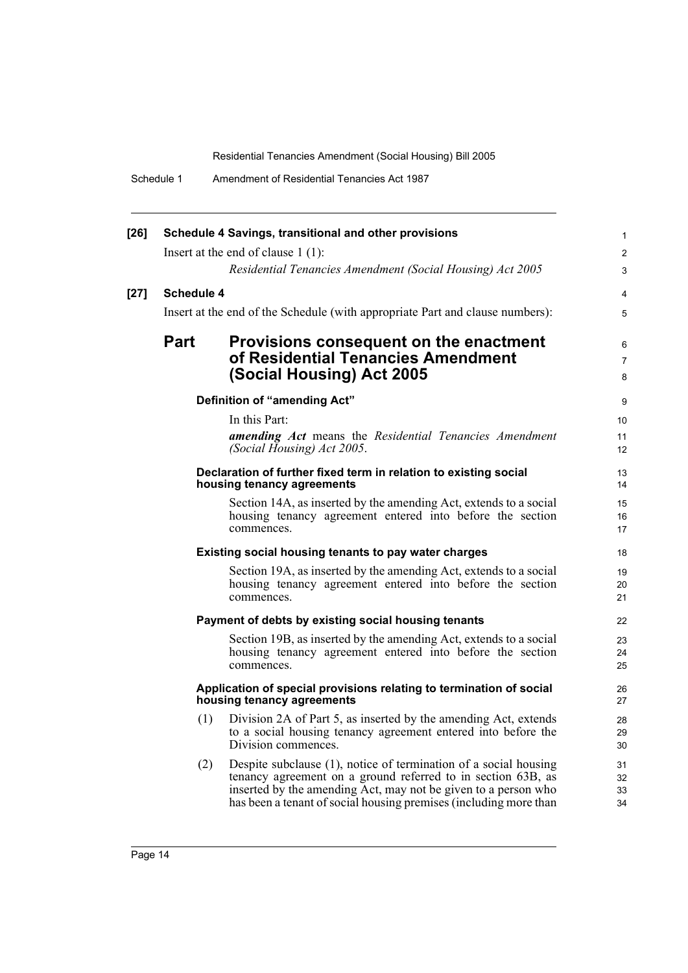| Amendment of Residential Tenancies Act 1987<br>Schedule 1 |  |  |
|-----------------------------------------------------------|--|--|
|-----------------------------------------------------------|--|--|

| $[26]$ |                   | Schedule 4 Savings, transitional and other provisions                                                                               | $\mathbf{1}$    |  |  |  |
|--------|-------------------|-------------------------------------------------------------------------------------------------------------------------------------|-----------------|--|--|--|
|        |                   | Insert at the end of clause $1(1)$ :                                                                                                | $\overline{2}$  |  |  |  |
|        |                   | Residential Tenancies Amendment (Social Housing) Act 2005                                                                           | 3               |  |  |  |
| $[27]$ | <b>Schedule 4</b> |                                                                                                                                     | 4               |  |  |  |
|        |                   | Insert at the end of the Schedule (with appropriate Part and clause numbers):                                                       | 5               |  |  |  |
|        |                   |                                                                                                                                     |                 |  |  |  |
|        | <b>Part</b>       | Provisions consequent on the enactment<br>of Residential Tenancies Amendment                                                        |                 |  |  |  |
|        |                   |                                                                                                                                     |                 |  |  |  |
|        |                   | (Social Housing) Act 2005                                                                                                           | 8               |  |  |  |
|        |                   | Definition of "amending Act"                                                                                                        |                 |  |  |  |
|        |                   | In this Part:                                                                                                                       | 10 <sup>°</sup> |  |  |  |
|        |                   | <b>amending Act</b> means the Residential Tenancies Amendment                                                                       | 11              |  |  |  |
|        |                   | (Social Housing) Act 2005.                                                                                                          | 12 <sup>2</sup> |  |  |  |
|        |                   | Declaration of further fixed term in relation to existing social<br>housing tenancy agreements                                      | 13<br>14        |  |  |  |
|        |                   | Section 14A, as inserted by the amending Act, extends to a social                                                                   | 15              |  |  |  |
|        |                   | housing tenancy agreement entered into before the section<br>commences.                                                             | 16<br>17        |  |  |  |
|        |                   | Existing social housing tenants to pay water charges                                                                                | 18              |  |  |  |
|        |                   | Section 19A, as inserted by the amending Act, extends to a social                                                                   | 19              |  |  |  |
|        |                   | housing tenancy agreement entered into before the section                                                                           | 20              |  |  |  |
|        |                   | commences.                                                                                                                          | 21              |  |  |  |
|        |                   | Payment of debts by existing social housing tenants                                                                                 | 22              |  |  |  |
|        |                   | Section 19B, as inserted by the amending Act, extends to a social                                                                   | 23              |  |  |  |
|        |                   | housing tenancy agreement entered into before the section<br>commences.                                                             | 24<br>25        |  |  |  |
|        |                   | Application of special provisions relating to termination of social<br>housing tenancy agreements                                   | 26<br>27        |  |  |  |
|        | (1)               | Division 2A of Part 5, as inserted by the amending Act, extends                                                                     | 28              |  |  |  |
|        |                   | to a social housing tenancy agreement entered into before the<br>Division commences.                                                | 29<br>30        |  |  |  |
|        | (2)               | Despite subclause (1), notice of termination of a social housing                                                                    | 31              |  |  |  |
|        |                   | tenancy agreement on a ground referred to in section 63B, as                                                                        | 32              |  |  |  |
|        |                   | inserted by the amending Act, may not be given to a person who<br>has been a tenant of social housing premises (including more than | 33<br>34        |  |  |  |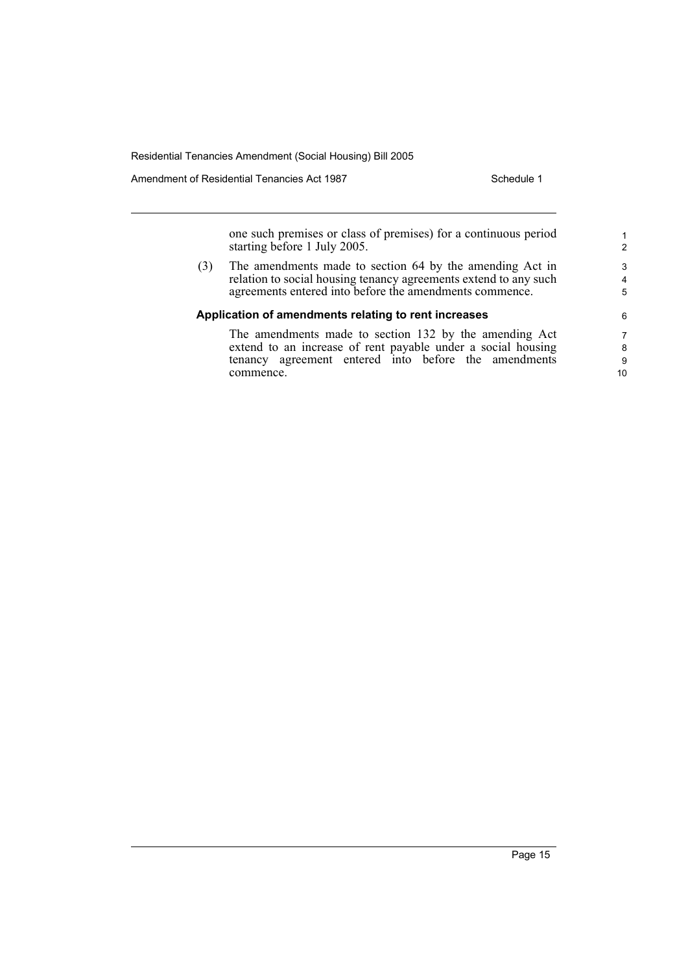Amendment of Residential Tenancies Act 1987 **Schedule 1** Schedule 1

one such premises or class of premises) for a continuous period starting before 1 July 2005.

(3) The amendments made to section 64 by the amending Act in relation to social housing tenancy agreements extend to any such agreements entered into before the amendments commence.

#### **Application of amendments relating to rent increases**

The amendments made to section 132 by the amending Act extend to an increase of rent payable under a social housing tenancy agreement entered into before the amendments commence.